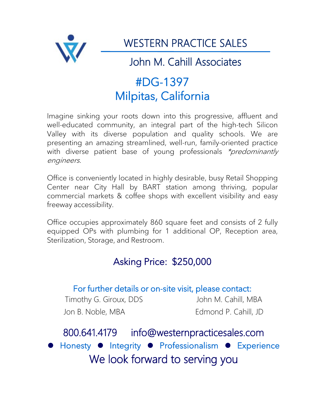

WESTERN PRACTICE SALES

# John M. Cahill Associates

# #DG-1397 Milpitas, California

Imagine sinking your roots down into this progressive, affluent and well-educated community, an integral part of the high-tech Silicon Valley with its diverse population and quality schools. We are presenting an amazing streamlined, well-run, family-oriented practice with diverse patient base of young professionals \*predominantly engineers.

Office is conveniently located in highly desirable, busy Retail Shopping Center near City Hall by BART station among thriving, popular commercial markets & coffee shops with excellent visibility and easy freeway accessibility.

Office occupies approximately 860 square feet and consists of 2 fully equipped OPs with plumbing for 1 additional OP, Reception area, Sterilization, Storage, and Restroom.

## Asking Price: \$250,000

### For further details or on-site visit, please contact:

Timothy G. Giroux, DDS John M. Cahill, MBA Jon B. Noble, MBA Edmond P. Cahill, JD

800.641.4179 info@westernpracticesales.com **Honesty Integrity • Professionalism • Experience** We look forward to serving you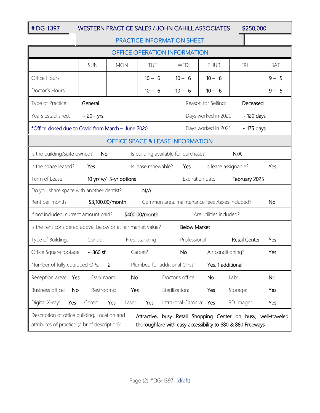#### # DG-1397 WESTERN PRACTICE SALES / JOHN CAHILL ASSOCIATES \$250,000

#### PRACTICE INFORMATION SHEET

| <b>OFFICE OPERATION INFORMATION</b>                                                                                                                                                                                           |                                                           |               |                     |                        |                      |                      |         |
|-------------------------------------------------------------------------------------------------------------------------------------------------------------------------------------------------------------------------------|-----------------------------------------------------------|---------------|---------------------|------------------------|----------------------|----------------------|---------|
|                                                                                                                                                                                                                               | <b>SUN</b>                                                | <b>MON</b>    | TUE                 | WED                    | <b>THUR</b>          | FRI                  | SAT     |
| Office Hours                                                                                                                                                                                                                  |                                                           |               | $10 - 6$            | $10 - 6$               | $10 - 6$             |                      | $9 - 5$ |
| Doctor's Hours                                                                                                                                                                                                                |                                                           |               | $10 - 6$            | $10 - 6$               | $10 - 6$             |                      | $9 - 5$ |
| Type of Practice:<br>General<br>Reason for Selling:<br>Deceased                                                                                                                                                               |                                                           |               |                     |                        |                      |                      |         |
| Years established:                                                                                                                                                                                                            | $\sim$ 20+ yrs<br>Days worked in 2020:<br>$\sim$ 120 days |               |                     |                        |                      |                      |         |
| *Office closed due to Covid from March - June 2020<br>Days worked in 2021:<br>$\sim$ 175 days                                                                                                                                 |                                                           |               |                     |                        |                      |                      |         |
| <b>OFFICE SPACE &amp; LEASE INFORMATION</b>                                                                                                                                                                                   |                                                           |               |                     |                        |                      |                      |         |
| N/A<br>Is the building/suite owned?<br>No.<br>Is building available for purchase?                                                                                                                                             |                                                           |               |                     |                        |                      |                      |         |
| Is the space leased?                                                                                                                                                                                                          | Yes                                                       |               | Is lease renewable? | Yes                    | Is lease assignable? |                      | Yes     |
| Term of Lease:<br>10 yrs w/ 5-yr options<br>February 2025<br>Expiration date:                                                                                                                                                 |                                                           |               |                     |                        |                      |                      |         |
| N/A<br>Do you share space with another dentist?                                                                                                                                                                               |                                                           |               |                     |                        |                      |                      |         |
| Rent per month<br>\$3,100.00/month<br>Common area, maintenance fees /taxes included?<br><b>No</b>                                                                                                                             |                                                           |               |                     |                        |                      |                      |         |
| If not included, current amount paid?<br>\$400.00/month<br>Are utilities included?                                                                                                                                            |                                                           |               |                     |                        |                      |                      |         |
| <b>Below Market</b><br>Is the rent considered above, below or at fair market value?                                                                                                                                           |                                                           |               |                     |                        |                      |                      |         |
| Type of Building:                                                                                                                                                                                                             | Condo                                                     |               | Free-standing       | Professional           |                      | <b>Retail Center</b> | Yes     |
| Office Square footage:                                                                                                                                                                                                        | $\sim$ 860 sf                                             |               | Carpet?             | <b>No</b>              | Air conditioning?    |                      | Yes     |
| $\overline{2}$<br>Plumbed for additional OPs?<br>Yes, 1 additional<br>Number of fully equipped OPs:                                                                                                                           |                                                           |               |                     |                        |                      |                      |         |
| Reception area: Yes                                                                                                                                                                                                           | Dark room:                                                | No.           |                     | Doctor's office:       | No.                  | Lab:                 | No      |
| Business office:<br>No                                                                                                                                                                                                        | Restrooms:                                                | Yes           |                     | Sterilization:         | Yes                  | Storage:             | Yes     |
| Digital X-ray:<br>Yes                                                                                                                                                                                                         | Cerec:                                                    | Yes<br>Laser: | Yes                 | Intra-oral Camera: Yes |                      | 3D Imager:           | Yes     |
| Description of office building, Location and<br>Attractive, busy Retail Shopping Center on busy, well-traveled<br>attributes of practice (a brief description):<br>thoroughfare with easy accessibility to 680 & 880 Freeways |                                                           |               |                     |                        |                      |                      |         |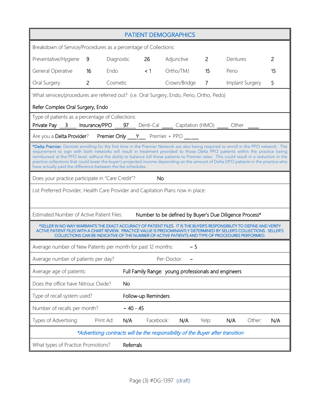| <b>PATIENT DEMOGRAPHICS</b>                                                                                                                                                                                                                                                                                                                                                                                                                                                                                                                                                                                                   |                         |           |              |                |                 |              |
|-------------------------------------------------------------------------------------------------------------------------------------------------------------------------------------------------------------------------------------------------------------------------------------------------------------------------------------------------------------------------------------------------------------------------------------------------------------------------------------------------------------------------------------------------------------------------------------------------------------------------------|-------------------------|-----------|--------------|----------------|-----------------|--------------|
| Breakdown of Service/Procedures as a percentage of Collections:                                                                                                                                                                                                                                                                                                                                                                                                                                                                                                                                                               |                         |           |              |                |                 |              |
| $9^{\circ}$<br>Preventative/Hygiene                                                                                                                                                                                                                                                                                                                                                                                                                                                                                                                                                                                           | Diagnostic              | 26        | Adjunctive   | $\mathbf{2}$   | Dentures        | $\mathbf{2}$ |
| <b>General Operative</b><br>16                                                                                                                                                                                                                                                                                                                                                                                                                                                                                                                                                                                                | Endo<br>$\sim$ $\sim$ 1 |           | Ortho/TMJ    | 15             | Perio           | 15           |
| Oral Surgery<br>$\overline{2}$                                                                                                                                                                                                                                                                                                                                                                                                                                                                                                                                                                                                | Cosmetic                |           | Crown/Bridge | $\overline{7}$ | Implant Surgery | 5            |
| What services/procedures are referred out? (i.e. Oral Surgery, Endo, Perio, Ortho, Pedo)                                                                                                                                                                                                                                                                                                                                                                                                                                                                                                                                      |                         |           |              |                |                 |              |
| Refer Complex Oral Surgery, Endo                                                                                                                                                                                                                                                                                                                                                                                                                                                                                                                                                                                              |                         |           |              |                |                 |              |
| Type of patients as a percentage of Collections:<br>Private Pay 3 Insurance/PPO 97 Denti-Cal Capitation (HMO) Denti - Capitation (HMO)                                                                                                                                                                                                                                                                                                                                                                                                                                                                                        |                         |           |              |                |                 |              |
| Are you a Delta Provider? Premier Only Y Premier + PPO _____                                                                                                                                                                                                                                                                                                                                                                                                                                                                                                                                                                  |                         |           |              |                |                 |              |
| *Delta Premier: Dentists enrolling for the first time in the Premier Network are also being required to enroll in the PPO network. The<br>requirement to sign with both networks will result in treatment provided to those Delta PPO patients within the practice being<br>reimbursed at the PPO level, without the ability to balance bill those patients to Premier rates. This could result in a reduction in the<br>practice collections that could lower the buyer's projected income depending on the amount of Delta DPO patients in the practice who<br>have actually paid the difference between the fee schedules. |                         |           |              |                |                 |              |
| Does your practice participate in "Care Credit"?<br><b>No</b>                                                                                                                                                                                                                                                                                                                                                                                                                                                                                                                                                                 |                         |           |              |                |                 |              |
| List Preferred Provider, Health Care Provider and Capitation Plans now in place:                                                                                                                                                                                                                                                                                                                                                                                                                                                                                                                                              |                         |           |              |                |                 |              |
| Number to be defined by Buyer's Due Diligence Process*<br>Estimated Number of Active Patient Files:                                                                                                                                                                                                                                                                                                                                                                                                                                                                                                                           |                         |           |              |                |                 |              |
| *SELLER IN NO WAY WARRANTS THE EXACT ACCURACY OF PATIENT FILES. IT IS THE BUYER'S RESPONSIBILITY TO DEFINE AND VERIFY<br>ACTIVE PATIENT FILES WITH A CHART REVIEW.  PRACTICE VALUE IS PREDOMINANTLY DETERMINED BY SELLER'S COLLECTIONS. SELLER'S<br>COLLECTIONS CAN BE INDICATIVE OF THE NUMBER OF ACTIVE PATIENTS AND TYPE OF PROCEDURES PERFORMED.                                                                                                                                                                                                                                                                          |                         |           |              |                |                 |              |
| Average number of New Patients per month for past 12 months:<br>$~\sim 5$                                                                                                                                                                                                                                                                                                                                                                                                                                                                                                                                                     |                         |           |              |                |                 |              |
| Average number of patients per day?                                                                                                                                                                                                                                                                                                                                                                                                                                                                                                                                                                                           |                         |           | Per-Doctor:  |                |                 |              |
| Average age of patients:<br>Full Family Range: young professionals and engineers                                                                                                                                                                                                                                                                                                                                                                                                                                                                                                                                              |                         |           |              |                |                 |              |
| Does the office have Nitrous Oxide?                                                                                                                                                                                                                                                                                                                                                                                                                                                                                                                                                                                           | <b>No</b>               |           |              |                |                 |              |
| Type of recall system used?<br>Follow-up Reminders                                                                                                                                                                                                                                                                                                                                                                                                                                                                                                                                                                            |                         |           |              |                |                 |              |
| Number of recalls per month?<br>$~10 - 45$                                                                                                                                                                                                                                                                                                                                                                                                                                                                                                                                                                                    |                         |           |              |                |                 |              |
| Types of Advertising:                                                                                                                                                                                                                                                                                                                                                                                                                                                                                                                                                                                                         | Print Ad:<br>N/A        | Facebook: | N/A          | Yelp:          | N/A<br>Other:   | N/A          |
| *Advertising contracts will be the responsibility of the Buyer after transition                                                                                                                                                                                                                                                                                                                                                                                                                                                                                                                                               |                         |           |              |                |                 |              |
| What types of Practice Promotions?                                                                                                                                                                                                                                                                                                                                                                                                                                                                                                                                                                                            | Referrals               |           |              |                |                 |              |